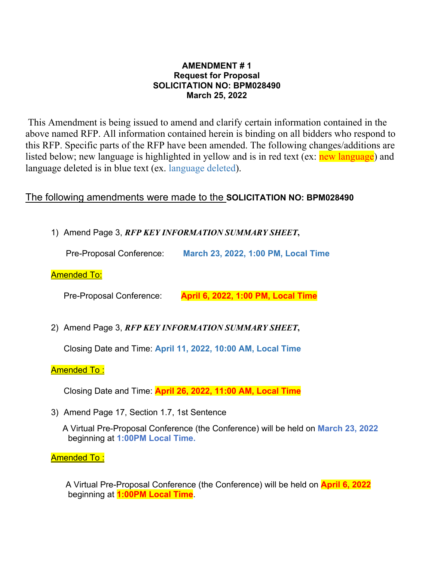### **AMENDMENT # 1 Request for Proposal SOLICITATION NO: BPM028490 March 25, 2022**

 This Amendment is being issued to amend and clarify certain information contained in the above named RFP. All information contained herein is binding on all bidders who respond to this RFP. Specific parts of the RFP have been amended. The following changes/additions are listed below; new language is highlighted in yellow and is in red text (ex: new language) and language deleted is in blue text (ex. language deleted).

# The following amendments were made to the **SOLICITATION NO: BPM028490**

1) Amend Page 3, *RFP KEY INFORMATION SUMMARY SHEET***,** 

Pre-Proposal Conference: **March 23, 2022, 1:00 PM, Local Time**

## Amended To:

Pre-Proposal Conference: **April 6, 2022, 1:00 PM, Local Time** 

2) Amend Page 3, *RFP KEY INFORMATION SUMMARY SHEET***,**

Closing Date and Time: **April 11, 2022, 10:00 AM, Local Time** 

#### Amended To :

Closing Date and Time: **April 26, 2022, 11:00 AM, Local Time** 

3) Amend Page 17, Section 1.7, 1st Sentence

 A Virtual Pre-Proposal Conference (the Conference) will be held on **March 23, 2022** beginning at **1:00PM Local Time.**

#### Amended To :

 A Virtual Pre-Proposal Conference (the Conference) will be held on **April 6, 2022** beginning at **1:00PM Local Time**.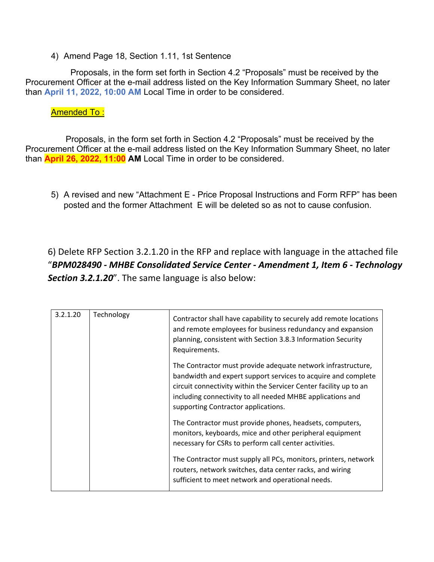4) Amend Page 18, Section 1.11, 1st Sentence

 Proposals, in the form set forth in Section 4.2 "Proposals" must be received by the Procurement Officer at the e-mail address listed on the Key Information Summary Sheet, no later than **April 11, 2022, 10:00 AM** Local Time in order to be considered.

# Amended To :

 Proposals, in the form set forth in Section 4.2 "Proposals" must be received by the Procurement Officer at the e-mail address listed on the Key Information Summary Sheet, no later than **April 26, 2022, 11:00 AM** Local Time in order to be considered.

5) A revised and new "Attachment E - Price Proposal Instructions and Form RFP" has been posted and the former Attachment E will be deleted so as not to cause confusion.

6) Delete RFP Section 3.2.1.20 in the RFP and replace with language in the attached file "*BPM028490 ‐ MHBE Consolidated Service Center ‐ Amendment 1, Item 6 ‐ Technology Section 3.2.1.20*". The same language is also below:

| 3.2.1.20 | Technology | Contractor shall have capability to securely add remote locations<br>and remote employees for business redundancy and expansion<br>planning, consistent with Section 3.8.3 Information Security<br>Requirements.                                                                                        |
|----------|------------|---------------------------------------------------------------------------------------------------------------------------------------------------------------------------------------------------------------------------------------------------------------------------------------------------------|
|          |            | The Contractor must provide adequate network infrastructure,<br>bandwidth and expert support services to acquire and complete<br>circuit connectivity within the Servicer Center facility up to an<br>including connectivity to all needed MHBE applications and<br>supporting Contractor applications. |
|          |            | The Contractor must provide phones, headsets, computers,<br>monitors, keyboards, mice and other peripheral equipment<br>necessary for CSRs to perform call center activities.                                                                                                                           |
|          |            | The Contractor must supply all PCs, monitors, printers, network<br>routers, network switches, data center racks, and wiring<br>sufficient to meet network and operational needs.                                                                                                                        |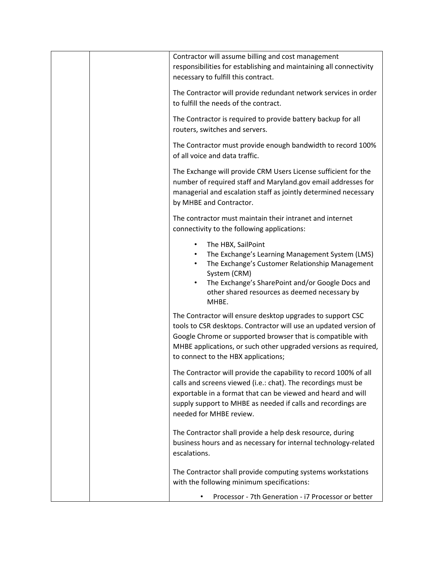| Contractor will assume billing and cost management<br>responsibilities for establishing and maintaining all connectivity<br>necessary to fulfill this contract.                                                                                                                                        |
|--------------------------------------------------------------------------------------------------------------------------------------------------------------------------------------------------------------------------------------------------------------------------------------------------------|
| The Contractor will provide redundant network services in order<br>to fulfill the needs of the contract.                                                                                                                                                                                               |
| The Contractor is required to provide battery backup for all<br>routers, switches and servers.                                                                                                                                                                                                         |
| The Contractor must provide enough bandwidth to record 100%<br>of all voice and data traffic.                                                                                                                                                                                                          |
| The Exchange will provide CRM Users License sufficient for the<br>number of required staff and Maryland.gov email addresses for<br>managerial and escalation staff as jointly determined necessary<br>by MHBE and Contractor.                                                                          |
| The contractor must maintain their intranet and internet<br>connectivity to the following applications:                                                                                                                                                                                                |
| The HBX, SailPoint<br>The Exchange's Learning Management System (LMS)<br>The Exchange's Customer Relationship Management<br>$\bullet$<br>System (CRM)<br>The Exchange's SharePoint and/or Google Docs and<br>other shared resources as deemed necessary by<br>MHBE.                                    |
| The Contractor will ensure desktop upgrades to support CSC<br>tools to CSR desktops. Contractor will use an updated version of<br>Google Chrome or supported browser that is compatible with<br>MHBE applications, or such other upgraded versions as required,<br>to connect to the HBX applications; |
| The Contractor will provide the capability to record 100% of all<br>calls and screens viewed (i.e.: chat). The recordings must be<br>exportable in a format that can be viewed and heard and will<br>supply support to MHBE as needed if calls and recordings are<br>needed for MHBE review.           |
| The Contractor shall provide a help desk resource, during<br>business hours and as necessary for internal technology-related<br>escalations.                                                                                                                                                           |
| The Contractor shall provide computing systems workstations<br>with the following minimum specifications:                                                                                                                                                                                              |
| Processor - 7th Generation - i7 Processor or better                                                                                                                                                                                                                                                    |